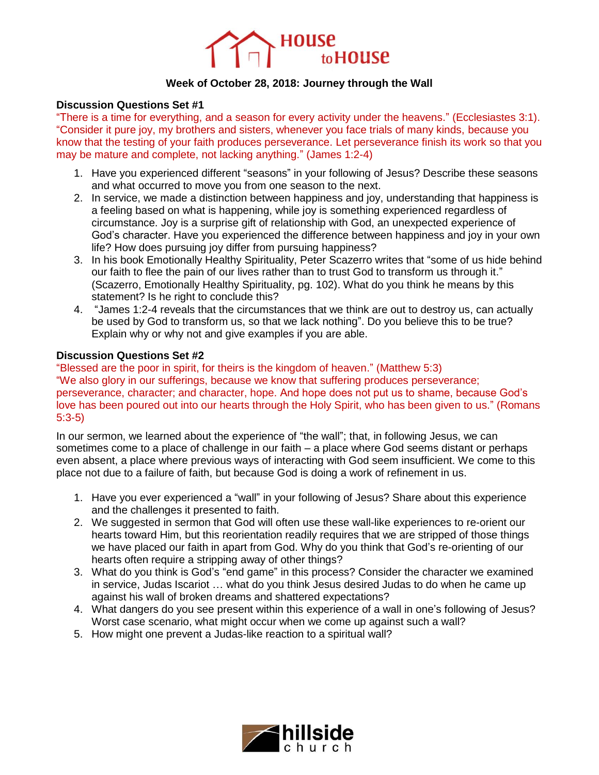

## **Week of October 28, 2018: Journey through the Wall**

## **Discussion Questions Set #1**

"There is a time for everything, and a season for every activity under the heavens." (Ecclesiastes 3:1). "Consider it pure joy, my brothers and sisters, whenever you face trials of many kinds, because you know that the testing of your faith produces perseverance. Let perseverance finish its work so that you may be mature and complete, not lacking anything." (James 1:2-4)

- 1. Have you experienced different "seasons" in your following of Jesus? Describe these seasons and what occurred to move you from one season to the next.
- 2. In service, we made a distinction between happiness and joy, understanding that happiness is a feeling based on what is happening, while joy is something experienced regardless of circumstance. Joy is a surprise gift of relationship with God, an unexpected experience of God's character. Have you experienced the difference between happiness and joy in your own life? How does pursuing joy differ from pursuing happiness?
- 3. In his book Emotionally Healthy Spirituality, Peter Scazerro writes that "some of us hide behind our faith to flee the pain of our lives rather than to trust God to transform us through it." (Scazerro, Emotionally Healthy Spirituality, pg. 102). What do you think he means by this statement? Is he right to conclude this?
- 4. "James 1:2-4 reveals that the circumstances that we think are out to destroy us, can actually be used by God to transform us, so that we lack nothing". Do you believe this to be true? Explain why or why not and give examples if you are able.

## **Discussion Questions Set #2**

"Blessed are the poor in spirit, for theirs is the kingdom of heaven." (Matthew 5:3) "We also glory in our sufferings, because we know that suffering produces perseverance; perseverance, character; and character, hope. And hope does not put us to shame, because God's love has been poured out into our hearts through the Holy Spirit, who has been given to us." (Romans 5:3-5)

In our sermon, we learned about the experience of "the wall"; that, in following Jesus, we can sometimes come to a place of challenge in our faith – a place where God seems distant or perhaps even absent, a place where previous ways of interacting with God seem insufficient. We come to this place not due to a failure of faith, but because God is doing a work of refinement in us.

- 1. Have you ever experienced a "wall" in your following of Jesus? Share about this experience and the challenges it presented to faith.
- 2. We suggested in sermon that God will often use these wall-like experiences to re-orient our hearts toward Him, but this reorientation readily requires that we are stripped of those things we have placed our faith in apart from God. Why do you think that God's re-orienting of our hearts often require a stripping away of other things?
- 3. What do you think is God's "end game" in this process? Consider the character we examined in service, Judas Iscariot … what do you think Jesus desired Judas to do when he came up against his wall of broken dreams and shattered expectations?
- 4. What dangers do you see present within this experience of a wall in one's following of Jesus? Worst case scenario, what might occur when we come up against such a wall?
- 5. How might one prevent a Judas-like reaction to a spiritual wall?